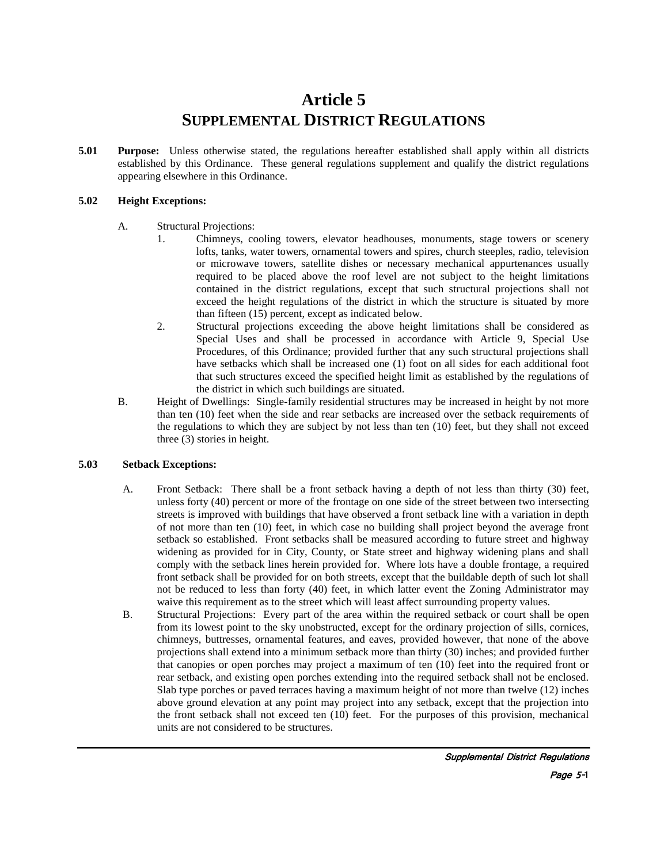# **Article 5 SUPPLEMENTAL DISTRICT REGULATIONS**

**5.01 Purpose:** Unless otherwise stated, the regulations hereafter established shall apply within all districts established by this Ordinance. These general regulations supplement and qualify the district regulations appearing elsewhere in this Ordinance.

### **5.02 Height Exceptions:**

- A. Structural Projections:
	- 1. Chimneys, cooling towers, elevator headhouses, monuments, stage towers or scenery lofts, tanks, water towers, ornamental towers and spires, church steeples, radio, television or microwave towers, satellite dishes or necessary mechanical appurtenances usually required to be placed above the roof level are not subject to the height limitations contained in the district regulations, except that such structural projections shall not exceed the height regulations of the district in which the structure is situated by more than fifteen (15) percent, except as indicated below.
	- 2. Structural projections exceeding the above height limitations shall be considered as Special Uses and shall be processed in accordance with Article 9, Special Use Procedures, of this Ordinance; provided further that any such structural projections shall have setbacks which shall be increased one (1) foot on all sides for each additional foot that such structures exceed the specified height limit as established by the regulations of the district in which such buildings are situated.
- B. Height of Dwellings: Single-family residential structures may be increased in height by not more than ten (10) feet when the side and rear setbacks are increased over the setback requirements of the regulations to which they are subject by not less than ten (10) feet, but they shall not exceed three (3) stories in height.

### **5.03 Setback Exceptions:**

- A. Front Setback: There shall be a front setback having a depth of not less than thirty (30) feet, unless forty (40) percent or more of the frontage on one side of the street between two intersecting streets is improved with buildings that have observed a front setback line with a variation in depth of not more than ten (10) feet, in which case no building shall project beyond the average front setback so established. Front setbacks shall be measured according to future street and highway widening as provided for in City, County, or State street and highway widening plans and shall comply with the setback lines herein provided for. Where lots have a double frontage, a required front setback shall be provided for on both streets, except that the buildable depth of such lot shall not be reduced to less than forty (40) feet, in which latter event the Zoning Administrator may waive this requirement as to the street which will least affect surrounding property values.
- B. Structural Projections: Every part of the area within the required setback or court shall be open from its lowest point to the sky unobstructed, except for the ordinary projection of sills, cornices, chimneys, buttresses, ornamental features, and eaves, provided however, that none of the above projections shall extend into a minimum setback more than thirty (30) inches; and provided further that canopies or open porches may project a maximum of ten (10) feet into the required front or rear setback, and existing open porches extending into the required setback shall not be enclosed. Slab type porches or paved terraces having a maximum height of not more than twelve (12) inches above ground elevation at any point may project into any setback, except that the projection into the front setback shall not exceed ten (10) feet. For the purposes of this provision, mechanical units are not considered to be structures.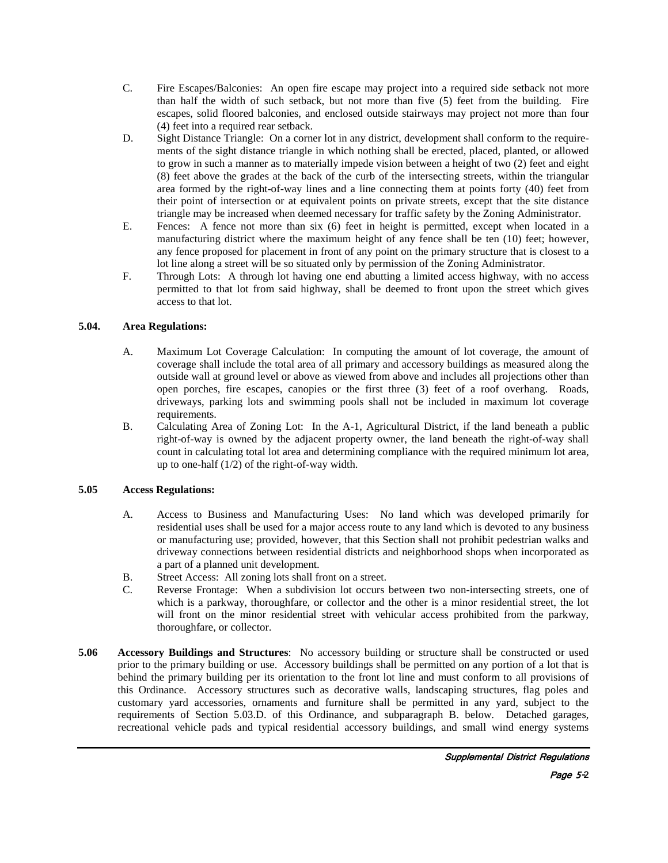- C. Fire Escapes/Balconies: An open fire escape may project into a required side setback not more than half the width of such setback, but not more than five (5) feet from the building. Fire escapes, solid floored balconies, and enclosed outside stairways may project not more than four (4) feet into a required rear setback.
- D. Sight Distance Triangle: On a corner lot in any district, development shall conform to the requirements of the sight distance triangle in which nothing shall be erected, placed, planted, or allowed to grow in such a manner as to materially impede vision between a height of two (2) feet and eight (8) feet above the grades at the back of the curb of the intersecting streets, within the triangular area formed by the right-of-way lines and a line connecting them at points forty (40) feet from their point of intersection or at equivalent points on private streets, except that the site distance triangle may be increased when deemed necessary for traffic safety by the Zoning Administrator.
- E. Fences: A fence not more than six (6) feet in height is permitted, except when located in a manufacturing district where the maximum height of any fence shall be ten (10) feet; however, any fence proposed for placement in front of any point on the primary structure that is closest to a lot line along a street will be so situated only by permission of the Zoning Administrator.
- F. Through Lots: A through lot having one end abutting a limited access highway, with no access permitted to that lot from said highway, shall be deemed to front upon the street which gives access to that lot.

### **5.04. Area Regulations:**

- A. Maximum Lot Coverage Calculation: In computing the amount of lot coverage, the amount of coverage shall include the total area of all primary and accessory buildings as measured along the outside wall at ground level or above as viewed from above and includes all projections other than open porches, fire escapes, canopies or the first three (3) feet of a roof overhang. Roads, driveways, parking lots and swimming pools shall not be included in maximum lot coverage requirements.
- B. Calculating Area of Zoning Lot: In the A-1, Agricultural District, if the land beneath a public right-of-way is owned by the adjacent property owner, the land beneath the right-of-way shall count in calculating total lot area and determining compliance with the required minimum lot area, up to one-half (1/2) of the right-of-way width.

### **5.05 Access Regulations:**

- A. Access to Business and Manufacturing Uses: No land which was developed primarily for residential uses shall be used for a major access route to any land which is devoted to any business or manufacturing use; provided, however, that this Section shall not prohibit pedestrian walks and driveway connections between residential districts and neighborhood shops when incorporated as a part of a planned unit development.
- B. Street Access: All zoning lots shall front on a street.
- C. Reverse Frontage: When a subdivision lot occurs between two non-intersecting streets, one of which is a parkway, thoroughfare, or collector and the other is a minor residential street, the lot will front on the minor residential street with vehicular access prohibited from the parkway, thoroughfare, or collector.
- **5.06 Accessory Buildings and Structures**: No accessory building or structure shall be constructed or used prior to the primary building or use. Accessory buildings shall be permitted on any portion of a lot that is behind the primary building per its orientation to the front lot line and must conform to all provisions of this Ordinance. Accessory structures such as decorative walls, landscaping structures, flag poles and customary yard accessories, ornaments and furniture shall be permitted in any yard, subject to the requirements of Section 5.03.D. of this Ordinance, and subparagraph B. below. Detached garages, recreational vehicle pads and typical residential accessory buildings, and small wind energy systems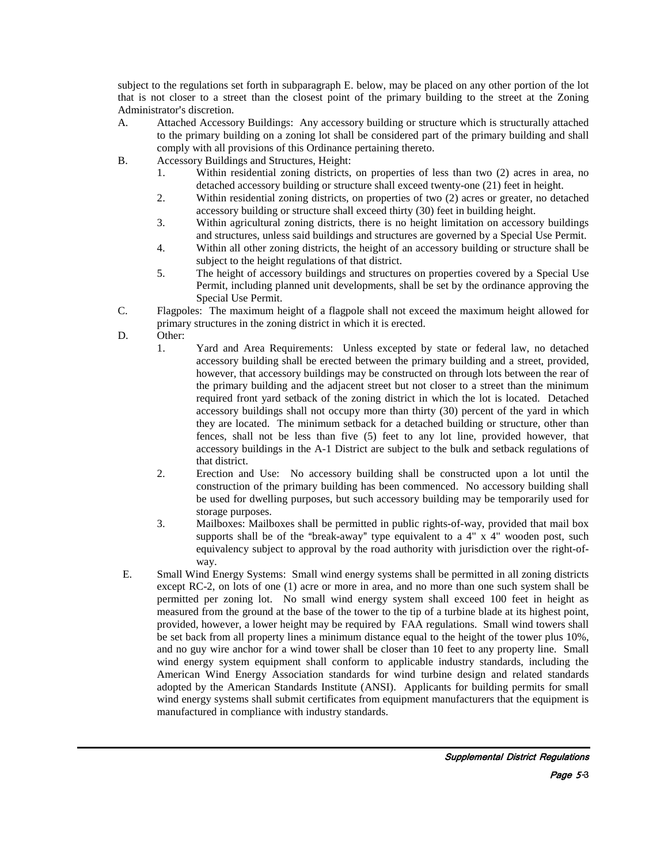subject to the regulations set forth in subparagraph E. below, may be placed on any other portion of the lot that is not closer to a street than the closest point of the primary building to the street at the Zoning Administrator's discretion.

- A. Attached Accessory Buildings: Any accessory building or structure which is structurally attached to the primary building on a zoning lot shall be considered part of the primary building and shall comply with all provisions of this Ordinance pertaining thereto.
- B. Accessory Buildings and Structures, Height:
	- 1. Within residential zoning districts, on properties of less than two (2) acres in area, no detached accessory building or structure shall exceed twenty-one (21) feet in height.
	- 2. Within residential zoning districts, on properties of two (2) acres or greater, no detached accessory building or structure shall exceed thirty (30) feet in building height.
	- 3. Within agricultural zoning districts, there is no height limitation on accessory buildings and structures, unless said buildings and structures are governed by a Special Use Permit.
	- 4. Within all other zoning districts, the height of an accessory building or structure shall be subject to the height regulations of that district.
	- 5. The height of accessory buildings and structures on properties covered by a Special Use Permit, including planned unit developments, shall be set by the ordinance approving the Special Use Permit.
- C. Flagpoles: The maximum height of a flagpole shall not exceed the maximum height allowed for primary structures in the zoning district in which it is erected.
- D. Other:
	- 1. Yard and Area Requirements: Unless excepted by state or federal law, no detached accessory building shall be erected between the primary building and a street, provided, however, that accessory buildings may be constructed on through lots between the rear of the primary building and the adjacent street but not closer to a street than the minimum required front yard setback of the zoning district in which the lot is located. Detached accessory buildings shall not occupy more than thirty (30) percent of the yard in which they are located. The minimum setback for a detached building or structure, other than fences, shall not be less than five (5) feet to any lot line, provided however, that accessory buildings in the A-1 District are subject to the bulk and setback regulations of that district.
	- 2. Erection and Use: No accessory building shall be constructed upon a lot until the construction of the primary building has been commenced. No accessory building shall be used for dwelling purposes, but such accessory building may be temporarily used for storage purposes.
	- 3. Mailboxes: Mailboxes shall be permitted in public rights-of-way, provided that mail box supports shall be of the "break-away" type equivalent to a  $4"$  x  $4"$  wooden post, such equivalency subject to approval by the road authority with jurisdiction over the right-ofway.
- E. Small Wind Energy Systems: Small wind energy systems shall be permitted in all zoning districts except RC-2, on lots of one (1) acre or more in area, and no more than one such system shall be permitted per zoning lot. No small wind energy system shall exceed 100 feet in height as measured from the ground at the base of the tower to the tip of a turbine blade at its highest point, provided, however, a lower height may be required by FAA regulations. Small wind towers shall be set back from all property lines a minimum distance equal to the height of the tower plus 10%, and no guy wire anchor for a wind tower shall be closer than 10 feet to any property line. Small wind energy system equipment shall conform to applicable industry standards, including the American Wind Energy Association standards for wind turbine design and related standards adopted by the American Standards Institute (ANSI). Applicants for building permits for small wind energy systems shall submit certificates from equipment manufacturers that the equipment is manufactured in compliance with industry standards.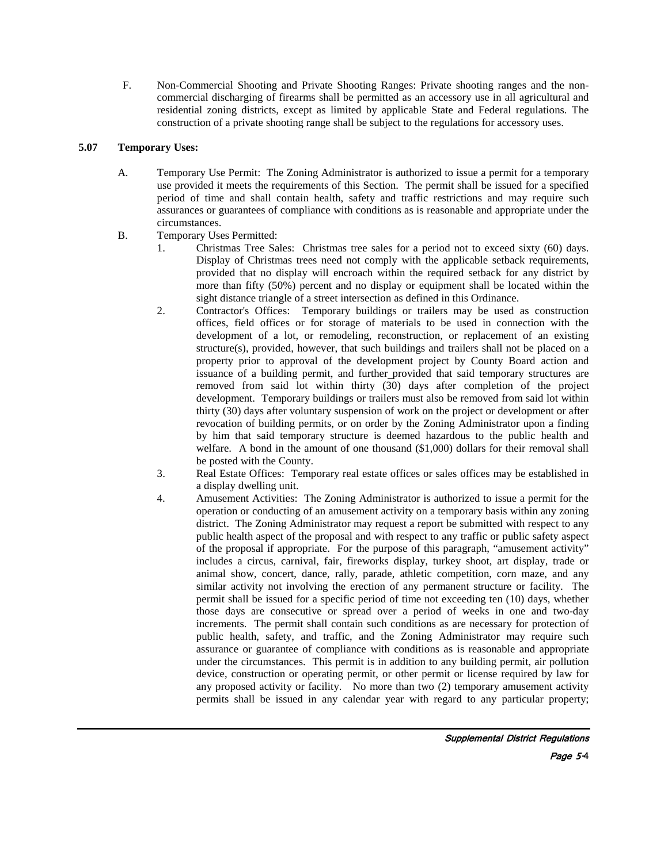F. Non-Commercial Shooting and Private Shooting Ranges: Private shooting ranges and the noncommercial discharging of firearms shall be permitted as an accessory use in all agricultural and residential zoning districts, except as limited by applicable State and Federal regulations. The construction of a private shooting range shall be subject to the regulations for accessory uses.

# **5.07 Temporary Uses:**

- A. Temporary Use Permit: The Zoning Administrator is authorized to issue a permit for a temporary use provided it meets the requirements of this Section. The permit shall be issued for a specified period of time and shall contain health, safety and traffic restrictions and may require such assurances or guarantees of compliance with conditions as is reasonable and appropriate under the circumstances.
- B. Temporary Uses Permitted:
	- 1. Christmas Tree Sales: Christmas tree sales for a period not to exceed sixty (60) days. Display of Christmas trees need not comply with the applicable setback requirements, provided that no display will encroach within the required setback for any district by more than fifty (50%) percent and no display or equipment shall be located within the sight distance triangle of a street intersection as defined in this Ordinance.
	- 2. Contractor's Offices: Temporary buildings or trailers may be used as construction offices, field offices or for storage of materials to be used in connection with the development of a lot, or remodeling, reconstruction, or replacement of an existing structure(s), provided, however, that such buildings and trailers shall not be placed on a property prior to approval of the development project by County Board action and issuance of a building permit, and further provided that said temporary structures are removed from said lot within thirty  $(30)$  days after completion of the project development. Temporary buildings or trailers must also be removed from said lot within thirty (30) days after voluntary suspension of work on the project or development or after revocation of building permits, or on order by the Zoning Administrator upon a finding by him that said temporary structure is deemed hazardous to the public health and welfare. A bond in the amount of one thousand (\$1,000) dollars for their removal shall be posted with the County.
	- 3. Real Estate Offices: Temporary real estate offices or sales offices may be established in a display dwelling unit.
	- 4. Amusement Activities: The Zoning Administrator is authorized to issue a permit for the operation or conducting of an amusement activity on a temporary basis within any zoning district. The Zoning Administrator may request a report be submitted with respect to any public health aspect of the proposal and with respect to any traffic or public safety aspect of the proposal if appropriate. For the purpose of this paragraph, "amusement activity" includes a circus, carnival, fair, fireworks display, turkey shoot, art display, trade or animal show, concert, dance, rally, parade, athletic competition, corn maze, and any similar activity not involving the erection of any permanent structure or facility. The permit shall be issued for a specific period of time not exceeding ten (10) days, whether those days are consecutive or spread over a period of weeks in one and two-day increments. The permit shall contain such conditions as are necessary for protection of public health, safety, and traffic, and the Zoning Administrator may require such assurance or guarantee of compliance with conditions as is reasonable and appropriate under the circumstances. This permit is in addition to any building permit, air pollution device, construction or operating permit, or other permit or license required by law for any proposed activity or facility. No more than two (2) temporary amusement activity permits shall be issued in any calendar year with regard to any particular property;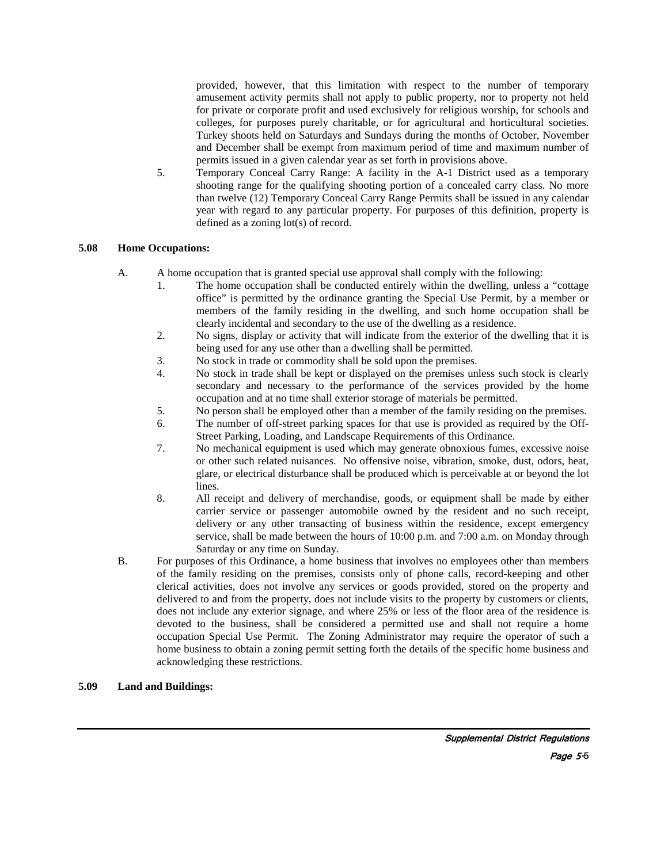provided, however, that this limitation with respect to the number of temporary amusement activity permits shall not apply to public property, nor to property not held for private or corporate profit and used exclusively for religious worship, for schools and colleges, for purposes purely charitable, or for agricultural and horticultural societies. Turkey shoots held on Saturdays and Sundays during the months of October, November and December shall be exempt from maximum period of time and maximum number of permits issued in a given calendar year as set forth in provisions above.

 5. Temporary Conceal Carry Range: A facility in the A-1 District used as a temporary shooting range for the qualifying shooting portion of a concealed carry class. No more than twelve (12) Temporary Conceal Carry Range Permits shall be issued in any calendar year with regard to any particular property. For purposes of this definition, property is defined as a zoning lot(s) of record.

### **5.08 Home Occupations:**

- A. A home occupation that is granted special use approval shall comply with the following:
	- 1. The home occupation shall be conducted entirely within the dwelling, unless a "cottage office" is permitted by the ordinance granting the Special Use Permit, by a member or members of the family residing in the dwelling, and such home occupation shall be clearly incidental and secondary to the use of the dwelling as a residence.
	- 2. No signs, display or activity that will indicate from the exterior of the dwelling that it is being used for any use other than a dwelling shall be permitted.
	- 3. No stock in trade or commodity shall be sold upon the premises.
	- 4. No stock in trade shall be kept or displayed on the premises unless such stock is clearly secondary and necessary to the performance of the services provided by the home occupation and at no time shall exterior storage of materials be permitted.
	- 5. No person shall be employed other than a member of the family residing on the premises.
	- 6. The number of off-street parking spaces for that use is provided as required by the Off-Street Parking, Loading, and Landscape Requirements of this Ordinance.
	- 7. No mechanical equipment is used which may generate obnoxious fumes, excessive noise or other such related nuisances. No offensive noise, vibration, smoke, dust, odors, heat, glare, or electrical disturbance shall be produced which is perceivable at or beyond the lot lines.
	- 8. All receipt and delivery of merchandise, goods, or equipment shall be made by either carrier service or passenger automobile owned by the resident and no such receipt, delivery or any other transacting of business within the residence, except emergency service, shall be made between the hours of 10:00 p.m. and 7:00 a.m. on Monday through Saturday or any time on Sunday.
- B. For purposes of this Ordinance, a home business that involves no employees other than members of the family residing on the premises, consists only of phone calls, record-keeping and other clerical activities, does not involve any services or goods provided, stored on the property and delivered to and from the property, does not include visits to the property by customers or clients, does not include any exterior signage, and where 25% or less of the floor area of the residence is devoted to the business, shall be considered a permitted use and shall not require a home occupation Special Use Permit. The Zoning Administrator may require the operator of such a home business to obtain a zoning permit setting forth the details of the specific home business and acknowledging these restrictions.

#### **5.09 Land and Buildings:**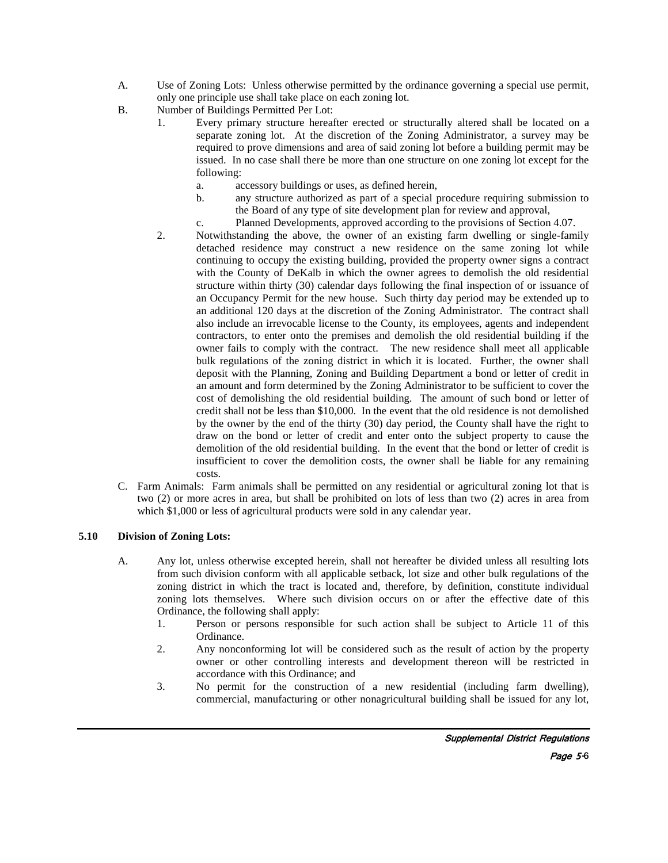- A. Use of Zoning Lots: Unless otherwise permitted by the ordinance governing a special use permit, only one principle use shall take place on each zoning lot.
- B. Number of Buildings Permitted Per Lot:
	- 1. Every primary structure hereafter erected or structurally altered shall be located on a separate zoning lot. At the discretion of the Zoning Administrator, a survey may be required to prove dimensions and area of said zoning lot before a building permit may be issued. In no case shall there be more than one structure on one zoning lot except for the following:
		- a. accessory buildings or uses, as defined herein,
		- b. any structure authorized as part of a special procedure requiring submission to the Board of any type of site development plan for review and approval,
	- c. Planned Developments, approved according to the provisions of Section 4.07.<br>2. Notwithstanding the above, the owner of an existing farm dwelling or single-family
	- 2. Notwithstanding the above, the owner of an existing farm dwelling or single-family detached residence may construct a new residence on the same zoning lot while continuing to occupy the existing building, provided the property owner signs a contract with the County of DeKalb in which the owner agrees to demolish the old residential structure within thirty (30) calendar days following the final inspection of or issuance of an Occupancy Permit for the new house. Such thirty day period may be extended up to an additional 120 days at the discretion of the Zoning Administrator. The contract shall also include an irrevocable license to the County, its employees, agents and independent contractors, to enter onto the premises and demolish the old residential building if the owner fails to comply with the contract. The new residence shall meet all applicable bulk regulations of the zoning district in which it is located. Further, the owner shall deposit with the Planning, Zoning and Building Department a bond or letter of credit in an amount and form determined by the Zoning Administrator to be sufficient to cover the cost of demolishing the old residential building. The amount of such bond or letter of credit shall not be less than \$10,000. In the event that the old residence is not demolished by the owner by the end of the thirty (30) day period, the County shall have the right to draw on the bond or letter of credit and enter onto the subject property to cause the demolition of the old residential building. In the event that the bond or letter of credit is insufficient to cover the demolition costs, the owner shall be liable for any remaining costs.
- C. Farm Animals: Farm animals shall be permitted on any residential or agricultural zoning lot that is two (2) or more acres in area, but shall be prohibited on lots of less than two (2) acres in area from which \$1,000 or less of agricultural products were sold in any calendar year.

### **5.10 Division of Zoning Lots:**

- A. Any lot, unless otherwise excepted herein, shall not hereafter be divided unless all resulting lots from such division conform with all applicable setback, lot size and other bulk regulations of the zoning district in which the tract is located and, therefore, by definition, constitute individual zoning lots themselves. Where such division occurs on or after the effective date of this Ordinance, the following shall apply:
	- 1. Person or persons responsible for such action shall be subject to Article 11 of this Ordinance.
	- 2. Any nonconforming lot will be considered such as the result of action by the property owner or other controlling interests and development thereon will be restricted in accordance with this Ordinance; and
	- 3. No permit for the construction of a new residential (including farm dwelling), commercial, manufacturing or other nonagricultural building shall be issued for any lot,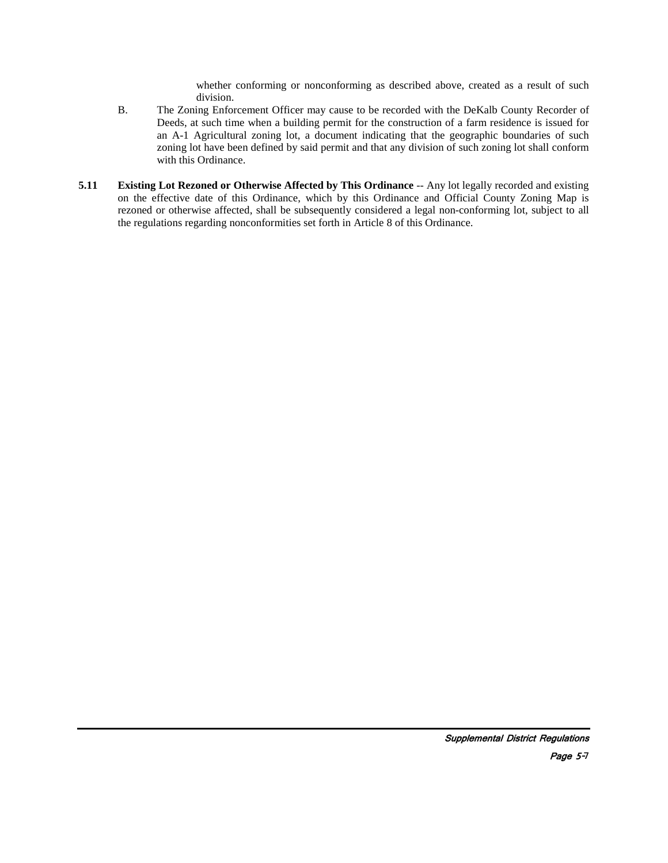whether conforming or nonconforming as described above, created as a result of such division.

- B. The Zoning Enforcement Officer may cause to be recorded with the DeKalb County Recorder of Deeds, at such time when a building permit for the construction of a farm residence is issued for an A-1 Agricultural zoning lot, a document indicating that the geographic boundaries of such zoning lot have been defined by said permit and that any division of such zoning lot shall conform with this Ordinance.
- **5.11 Existing Lot Rezoned or Otherwise Affected by This Ordinance** -- Any lot legally recorded and existing on the effective date of this Ordinance, which by this Ordinance and Official County Zoning Map is rezoned or otherwise affected, shall be subsequently considered a legal non-conforming lot, subject to all the regulations regarding nonconformities set forth in Article 8 of this Ordinance.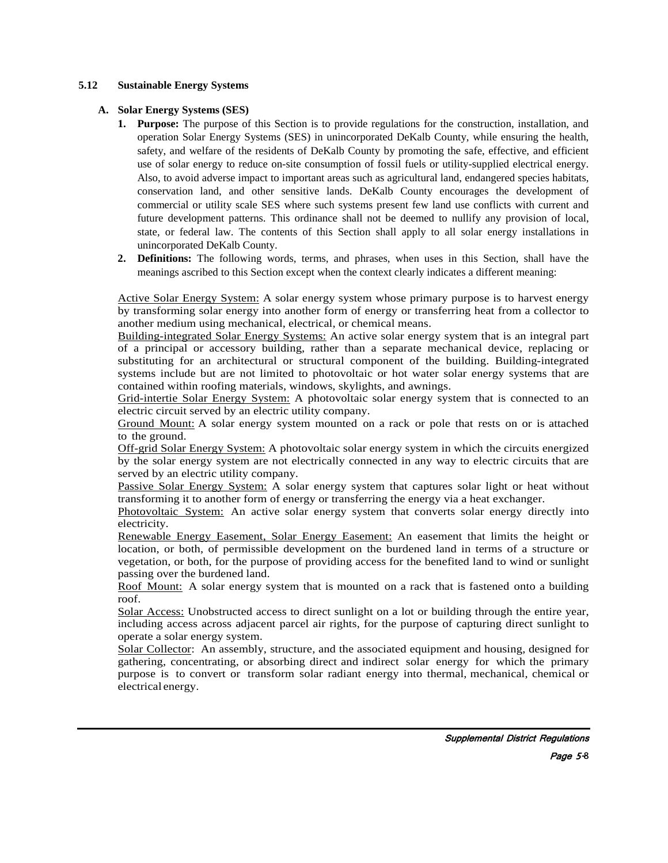### **5.12 Sustainable Energy Systems**

### **A. Solar Energy Systems (SES)**

- **1. Purpose:** The purpose of this Section is to provide regulations for the construction, installation, and operation Solar Energy Systems (SES) in unincorporated DeKalb County, while ensuring the health, safety, and welfare of the residents of DeKalb County by promoting the safe, effective, and efficient use of solar energy to reduce on-site consumption of fossil fuels or utility-supplied electrical energy. Also, to avoid adverse impact to important areas such as agricultural land, endangered species habitats, conservation land, and other sensitive lands. DeKalb County encourages the development of commercial or utility scale SES where such systems present few land use conflicts with current and future development patterns. This ordinance shall not be deemed to nullify any provision of local, state, or federal law. The contents of this Section shall apply to all solar energy installations in unincorporated DeKalb County.
- **2. Definitions:** The following words, terms, and phrases, when uses in this Section, shall have the meanings ascribed to this Section except when the context clearly indicates a different meaning:

Active Solar Energy System: A solar energy system whose primary purpose is to harvest energy by transforming solar energy into another form of energy or transferring heat from a collector to another medium using mechanical, electrical, or chemical means.

Building-integrated Solar Energy Systems: An active solar energy system that is an integral part of a principal or accessory building, rather than a separate mechanical device, replacing or substituting for an architectural or structural component of the building. Building-integrated systems include but are not limited to photovoltaic or hot water solar energy systems that are contained within roofing materials, windows, skylights, and awnings.

Grid-intertie Solar Energy System: A photovoltaic solar energy system that is connected to an electric circuit served by an electric utility company.

Ground Mount: A solar energy system mounted on a rack or pole that rests on or is attached to the ground.

Off-grid Solar Energy System: A photovoltaic solar energy system in which the circuits energized by the solar energy system are not electrically connected in any way to electric circuits that are served by an electric utility company.

Passive Solar Energy System: A solar energy system that captures solar light or heat without transforming it to another form of energy or transferring the energy via a heat exchanger.

Photovoltaic System: An active solar energy system that converts solar energy directly into electricity.

Renewable Energy Easement, Solar Energy Easement: An easement that limits the height or location, or both, of permissible development on the burdened land in terms of a structure or vegetation, or both, for the purpose of providing access for the benefited land to wind or sunlight passing over the burdened land.

Roof Mount: A solar energy system that is mounted on a rack that is fastened onto a building roof.

Solar Access: Unobstructed access to direct sunlight on a lot or building through the entire year, including access across adjacent parcel air rights, for the purpose of capturing direct sunlight to operate a solar energy system.

Solar Collector: An assembly, structure, and the associated equipment and housing, designed for gathering, concentrating, or absorbing direct and indirect solar energy for which the primary purpose is to convert or transform solar radiant energy into thermal, mechanical, chemical or electrical energy.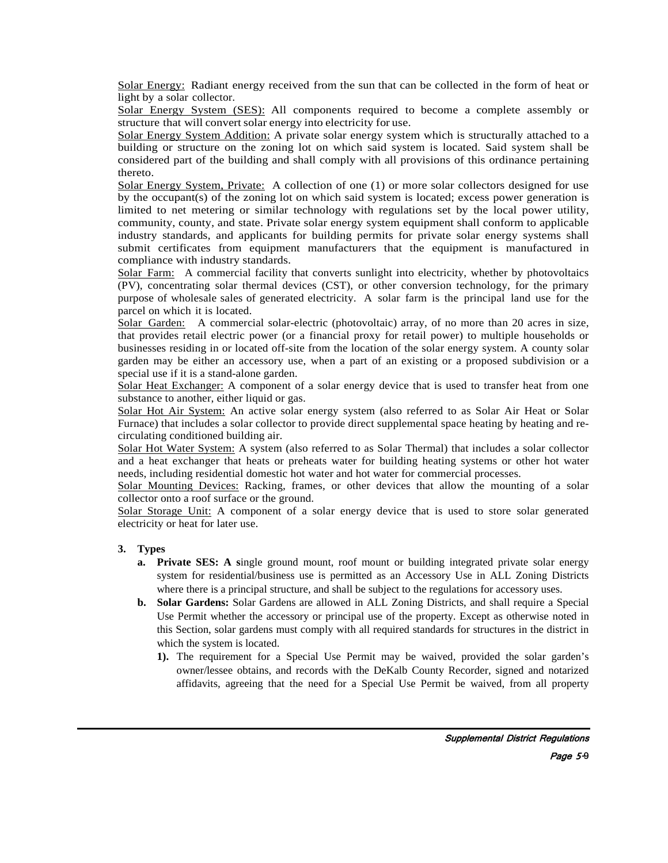Solar Energy: Radiant energy received from the sun that can be collected in the form of heat or light by a solar collector.

Solar Energy System (SES): All components required to become a complete assembly or structure that will convert solar energy into electricity for use.

Solar Energy System Addition: A private solar energy system which is structurally attached to a building or structure on the zoning lot on which said system is located. Said system shall be considered part of the building and shall comply with all provisions of this ordinance pertaining thereto.

Solar Energy System, Private: A collection of one (1) or more solar collectors designed for use by the occupant(s) of the zoning lot on which said system is located; excess power generation is limited to net metering or similar technology with regulations set by the local power utility, community, county, and state. Private solar energy system equipment shall conform to applicable industry standards, and applicants for building permits for private solar energy systems shall submit certificates from equipment manufacturers that the equipment is manufactured in compliance with industry standards.

Solar Farm: A commercial facility that converts sunlight into electricity, whether by photovoltaics (PV), concentrating solar thermal devices (CST), or other conversion technology, for the primary purpose of wholesale sales of generated electricity. A solar farm is the principal land use for the parcel on which it is located.

Solar Garden: A commercial solar-electric (photovoltaic) array, of no more than 20 acres in size, that provides retail electric power (or a financial proxy for retail power) to multiple households or businesses residing in or located off-site from the location of the solar energy system. A county solar garden may be either an accessory use, when a part of an existing or a proposed subdivision or a special use if it is a stand-alone garden.

Solar Heat Exchanger: A component of a solar energy device that is used to transfer heat from one substance to another, either liquid or gas.

Solar Hot Air System: An active solar energy system (also referred to as Solar Air Heat or Solar Furnace) that includes a solar collector to provide direct supplemental space heating by heating and recirculating conditioned building air.

Solar Hot Water System: A system (also referred to as Solar Thermal) that includes a solar collector and a heat exchanger that heats or preheats water for building heating systems or other hot water needs, including residential domestic hot water and hot water for commercial processes.

Solar Mounting Devices: Racking, frames, or other devices that allow the mounting of a solar collector onto a roof surface or the ground.

Solar Storage Unit: A component of a solar energy device that is used to store solar generated electricity or heat for later use.

### **3. Types**

- **a. Private SES:** A single ground mount, roof mount or building integrated private solar energy system for residential/business use is permitted as an Accessory Use in ALL Zoning Districts where there is a principal structure, and shall be subject to the regulations for accessory uses.
- **b. Solar Gardens:** Solar Gardens are allowed in ALL Zoning Districts, and shall require a Special Use Permit whether the accessory or principal use of the property. Except as otherwise noted in this Section, solar gardens must comply with all required standards for structures in the district in which the system is located.
	- **1).** The requirement for a Special Use Permit may be waived, provided the solar garden's owner/lessee obtains, and records with the DeKalb County Recorder, signed and notarized affidavits, agreeing that the need for a Special Use Permit be waived, from all property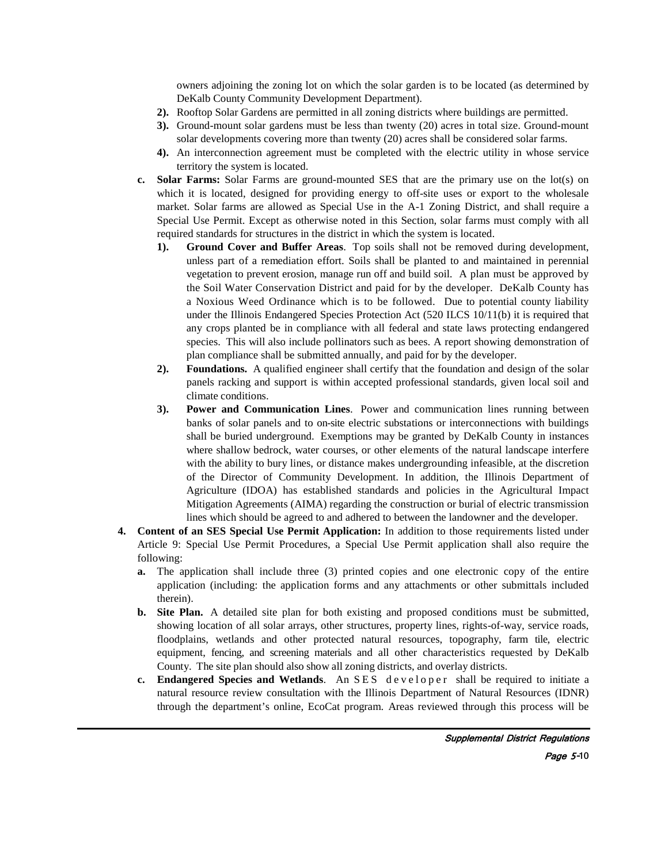owners adjoining the zoning lot on which the solar garden is to be located (as determined by DeKalb County Community Development Department).

- **2).** Rooftop Solar Gardens are permitted in all zoning districts where buildings are permitted.
- **3).** Ground-mount solar gardens must be less than twenty (20) acres in total size. Ground-mount solar developments covering more than twenty (20) acres shall be considered solar farms.
- **4).** An interconnection agreement must be completed with the electric utility in whose service territory the system is located.
- **c. Solar Farms:** Solar Farms are ground-mounted SES that are the primary use on the lot(s) on which it is located, designed for providing energy to off-site uses or export to the wholesale market. Solar farms are allowed as Special Use in the A-1 Zoning District, and shall require a Special Use Permit. Except as otherwise noted in this Section, solar farms must comply with all required standards for structures in the district in which the system is located.
	- **1). Ground Cover and Buffer Areas**. Top soils shall not be removed during development, unless part of a remediation effort. Soils shall be planted to and maintained in perennial vegetation to prevent erosion, manage run off and build soil. A plan must be approved by the Soil Water Conservation District and paid for by the developer. DeKalb County has a Noxious Weed Ordinance which is to be followed. Due to potential county liability under the Illinois Endangered Species Protection Act (520 ILCS 10/11(b) it is required that any crops planted be in compliance with all federal and state laws protecting endangered species. This will also include pollinators such as bees. A report showing demonstration of plan compliance shall be submitted annually, and paid for by the developer.
	- **2). Foundations.** A qualified engineer shall certify that the foundation and design of the solar panels racking and support is within accepted professional standards, given local soil and climate conditions.
	- **3). Power and Communication Lines**. Power and communication lines running between banks of solar panels and to on-site electric substations or interconnections with buildings shall be buried underground. Exemptions may be granted by DeKalb County in instances where shallow bedrock, water courses, or other elements of the natural landscape interfere with the ability to bury lines, or distance makes undergrounding infeasible, at the discretion of the Director of Community Development. In addition, the Illinois Department of Agriculture (IDOA) has established standards and policies in the Agricultural Impact Mitigation Agreements (AIMA) regarding the construction or burial of electric transmission lines which should be agreed to and adhered to between the landowner and the developer.
- **4. Content of an SES Special Use Permit Application:** In addition to those requirements listed under Article 9: Special Use Permit Procedures, a Special Use Permit application shall also require the following:
	- **a.** The application shall include three (3) printed copies and one electronic copy of the entire application (including: the application forms and any attachments or other submittals included therein).
	- **b. Site Plan.** A detailed site plan for both existing and proposed conditions must be submitted, showing location of all solar arrays, other structures, property lines, rights-of-way, service roads, floodplains, wetlands and other protected natural resources, topography, farm tile, electric equipment, fencing, and screening materials and all other characteristics requested by DeKalb County. The site plan should also show all zoning districts, and overlay districts.
	- **c. Endangered Species and Wetlands**. An SES developer shall be required to initiate a natural resource review consultation with the Illinois Department of Natural Resources (IDNR) through the department's online, EcoCat program. Areas reviewed through this process will be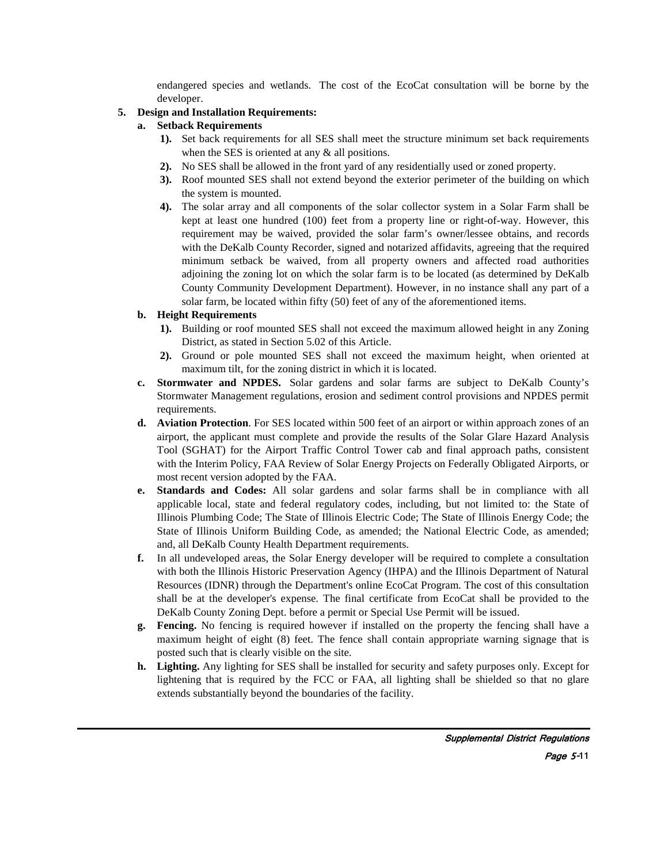endangered species and wetlands. The cost of the EcoCat consultation will be borne by the developer.

# **5. Design and Installation Requirements:**

- **a. Setback Requirements**
	- **1).** Set back requirements for all SES shall meet the structure minimum set back requirements when the SES is oriented at any  $\&$  all positions.
	- **2).** No SES shall be allowed in the front yard of any residentially used or zoned property.
	- **3).** Roof mounted SES shall not extend beyond the exterior perimeter of the building on which the system is mounted.
	- **4).** The solar array and all components of the solar collector system in a Solar Farm shall be kept at least one hundred (100) feet from a property line or right-of-way. However, this requirement may be waived, provided the solar farm's owner/lessee obtains, and records with the DeKalb County Recorder, signed and notarized affidavits, agreeing that the required minimum setback be waived, from all property owners and affected road authorities adjoining the zoning lot on which the solar farm is to be located (as determined by DeKalb County Community Development Department). However, in no instance shall any part of a solar farm, be located within fifty (50) feet of any of the aforementioned items.

# **b. Height Requirements**

- **1).** Building or roof mounted SES shall not exceed the maximum allowed height in any Zoning District, as stated in Section 5.02 of this Article.
- **2).** Ground or pole mounted SES shall not exceed the maximum height, when oriented at maximum tilt, for the zoning district in which it is located.
- **c. Stormwater and NPDES.** Solar gardens and solar farms are subject to DeKalb County's Stormwater Management regulations, erosion and sediment control provisions and NPDES permit requirements.
- **d. Aviation Protection**. For SES located within 500 feet of an airport or within approach zones of an airport, the applicant must complete and provide the results of the Solar Glare Hazard Analysis Tool (SGHAT) for the Airport Traffic Control Tower cab and final approach paths, consistent with the Interim Policy, FAA Review of Solar Energy Projects on Federally Obligated Airports, or most recent version adopted by the FAA.
- **e. Standards and Codes:** All solar gardens and solar farms shall be in compliance with all applicable local, state and federal regulatory codes, including, but not limited to: the State of Illinois Plumbing Code; The State of Illinois Electric Code; The State of Illinois Energy Code; the State of Illinois Uniform Building Code, as amended; the National Electric Code, as amended; and, all DeKalb County Health Department requirements.
- **f.** In all undeveloped areas, the Solar Energy developer will be required to complete a consultation with both the Illinois Historic Preservation Agency (IHPA) and the Illinois Department of Natural Resources (IDNR) through the Department's online EcoCat Program. The cost of this consultation shall be at the developer's expense. The final certificate from EcoCat shall be provided to the DeKalb County Zoning Dept. before a permit or Special Use Permit will be issued.
- **g. Fencing.** No fencing is required however if installed on the property the fencing shall have a maximum height of eight (8) feet. The fence shall contain appropriate warning signage that is posted such that is clearly visible on the site.
- **h. Lighting.** Any lighting for SES shall be installed for security and safety purposes only. Except for lightening that is required by the FCC or FAA, all lighting shall be shielded so that no glare extends substantially beyond the boundaries of the facility.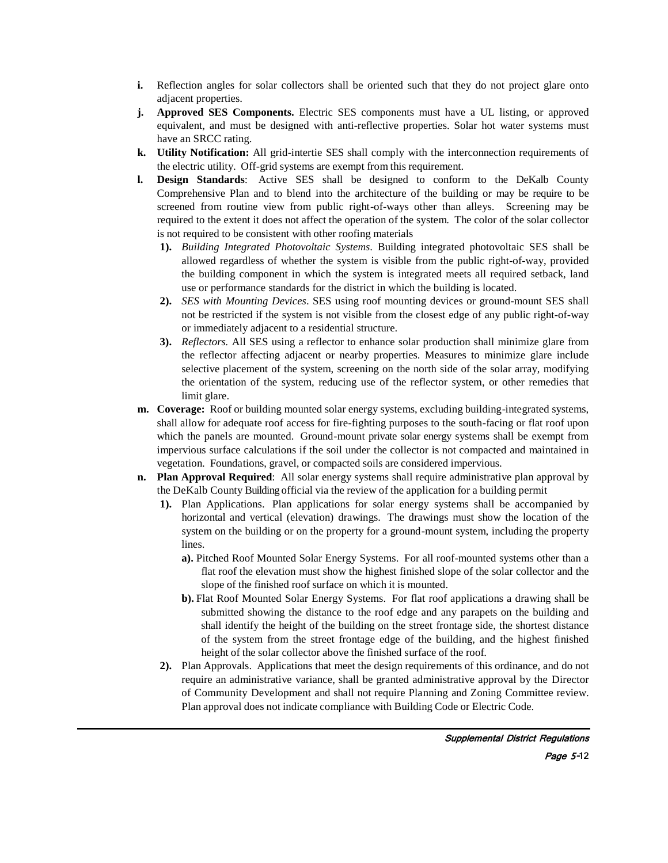- **i.** Reflection angles for solar collectors shall be oriented such that they do not project glare onto adjacent properties.
- **j. Approved SES Components.** Electric SES components must have a UL listing, or approved equivalent, and must be designed with anti-reflective properties. Solar hot water systems must have an SRCC rating.
- **k. Utility Notification:** All grid-intertie SES shall comply with the interconnection requirements of the electric utility. Off-grid systems are exempt from this requirement.
- **l. Design Standards**: Active SES shall be designed to conform to the DeKalb County Comprehensive Plan and to blend into the architecture of the building or may be require to be screened from routine view from public right-of-ways other than alleys. Screening may be required to the extent it does not affect the operation of the system. The color of the solar collector is not required to be consistent with other roofing materials
	- **1).** *Building Integrated Photovoltaic Systems*. Building integrated photovoltaic SES shall be allowed regardless of whether the system is visible from the public right-of-way, provided the building component in which the system is integrated meets all required setback, land use or performance standards for the district in which the building is located.
	- **2).** *SES with Mounting Devices*. SES using roof mounting devices or ground-mount SES shall not be restricted if the system is not visible from the closest edge of any public right-of-way or immediately adjacent to a residential structure.
	- **3).** *Reflectors.* All SES using a reflector to enhance solar production shall minimize glare from the reflector affecting adjacent or nearby properties. Measures to minimize glare include selective placement of the system, screening on the north side of the solar array, modifying the orientation of the system, reducing use of the reflector system, or other remedies that limit glare.
- **m. Coverage:** Roof or building mounted solar energy systems, excluding building-integrated systems, shall allow for adequate roof access for fire-fighting purposes to the south-facing or flat roof upon which the panels are mounted. Ground-mount private solar energy systems shall be exempt from impervious surface calculations if the soil under the collector is not compacted and maintained in vegetation. Foundations, gravel, or compacted soils are considered impervious.
- **n. Plan Approval Required**: All solar energy systems shall require administrative plan approval by the DeKalb County Building official via the review of the application for a building permit
	- **1).** Plan Applications. Plan applications for solar energy systems shall be accompanied by horizontal and vertical (elevation) drawings. The drawings must show the location of the system on the building or on the property for a ground-mount system, including the property lines.
		- **a).** Pitched Roof Mounted Solar Energy Systems. For all roof-mounted systems other than a flat roof the elevation must show the highest finished slope of the solar collector and the slope of the finished roof surface on which it is mounted.
		- **b).** Flat Roof Mounted Solar Energy Systems. For flat roof applications a drawing shall be submitted showing the distance to the roof edge and any parapets on the building and shall identify the height of the building on the street frontage side, the shortest distance of the system from the street frontage edge of the building, and the highest finished height of the solar collector above the finished surface of the roof.
	- **2).** Plan Approvals. Applications that meet the design requirements of this ordinance, and do not require an administrative variance, shall be granted administrative approval by the Director of Community Development and shall not require Planning and Zoning Committee review. Plan approval does not indicate compliance with Building Code or Electric Code.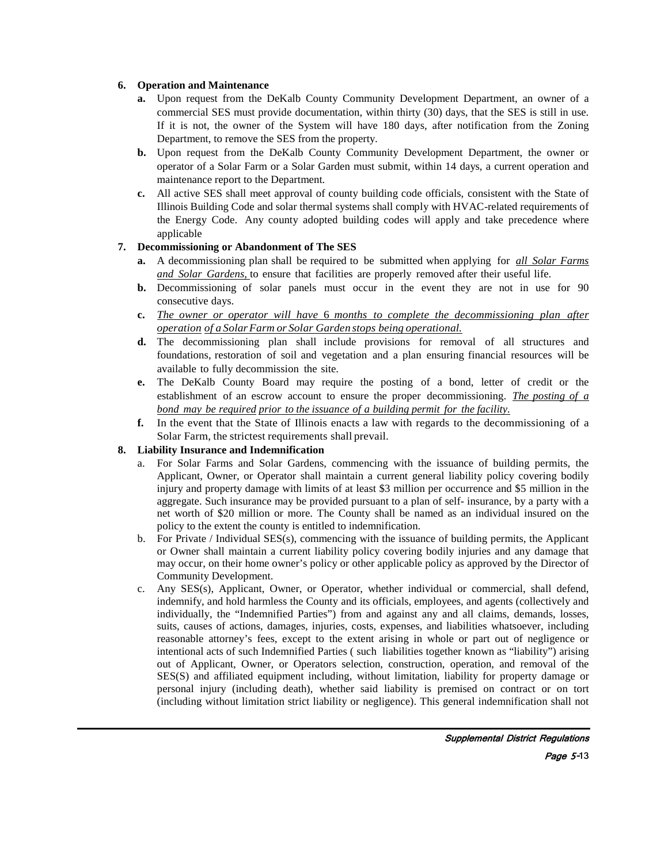### **6. Operation and Maintenance**

- **a.** Upon request from the DeKalb County Community Development Department, an owner of a commercial SES must provide documentation, within thirty (30) days, that the SES is still in use. If it is not, the owner of the System will have 180 days, after notification from the Zoning Department, to remove the SES from the property.
- **b.** Upon request from the DeKalb County Community Development Department, the owner or operator of a Solar Farm or a Solar Garden must submit, within 14 days, a current operation and maintenance report to the Department.
- **c.** All active SES shall meet approval of county building code officials, consistent with the State of Illinois Building Code and solar thermal systems shall comply with HVAC-related requirements of the Energy Code. Any county adopted building codes will apply and take precedence where applicable

# **7. Decommissioning or Abandonment of The SES**

- **a.** A decommissioning plan shall be required to be submitted when applying for *all Solar Farms and Solar Gardens,* to ensure that facilities are properly removed after their useful life.
- **b.** Decommissioning of solar panels must occur in the event they are not in use for 90 consecutive days.
- **c.** *The owner or operator will have* 6 *months to complete the decommissioning plan after operation of a SolarFarm or Solar Garden stops being operational.*
- **d.** The decommissioning plan shall include provisions for removal of all structures and foundations, restoration of soil and vegetation and a plan ensuring financial resources will be available to fully decommission the site.
- **e.** The DeKalb County Board may require the posting of a bond, letter of credit or the establishment of an escrow account to ensure the proper decommissioning. *The posting of a bond may be required prior to the issuance of a building permit for the facility.*
- **f.** In the event that the State of Illinois enacts a law with regards to the decommissioning of a Solar Farm, the strictest requirements shall prevail.

# **8. Liability Insurance and Indemnification**

- a. For Solar Farms and Solar Gardens, commencing with the issuance of building permits, the Applicant, Owner, or Operator shall maintain a current general liability policy covering bodily injury and property damage with limits of at least \$3 million per occurrence and \$5 million in the aggregate. Such insurance may be provided pursuant to a plan of self- insurance, by a party with a net worth of \$20 million or more. The County shall be named as an individual insured on the policy to the extent the county is entitled to indemnification.
- b. For Private / Individual SES(s), commencing with the issuance of building permits, the Applicant or Owner shall maintain a current liability policy covering bodily injuries and any damage that may occur, on their home owner's policy or other applicable policy as approved by the Director of Community Development.
- c. Any SES(s), Applicant, Owner, or Operator, whether individual or commercial, shall defend, indemnify, and hold harmless the County and its officials, employees, and agents (collectively and individually, the "Indemnified Parties") from and against any and all claims, demands, losses, suits, causes of actions, damages, injuries, costs, expenses, and liabilities whatsoever, including reasonable attorney's fees, except to the extent arising in whole or part out of negligence or intentional acts of such Indemnified Parties ( such liabilities together known as "liability") arising out of Applicant, Owner, or Operators selection, construction, operation, and removal of the SES(S) and affiliated equipment including, without limitation, liability for property damage or personal injury (including death), whether said liability is premised on contract or on tort (including without limitation strict liability or negligence). This general indemnification shall not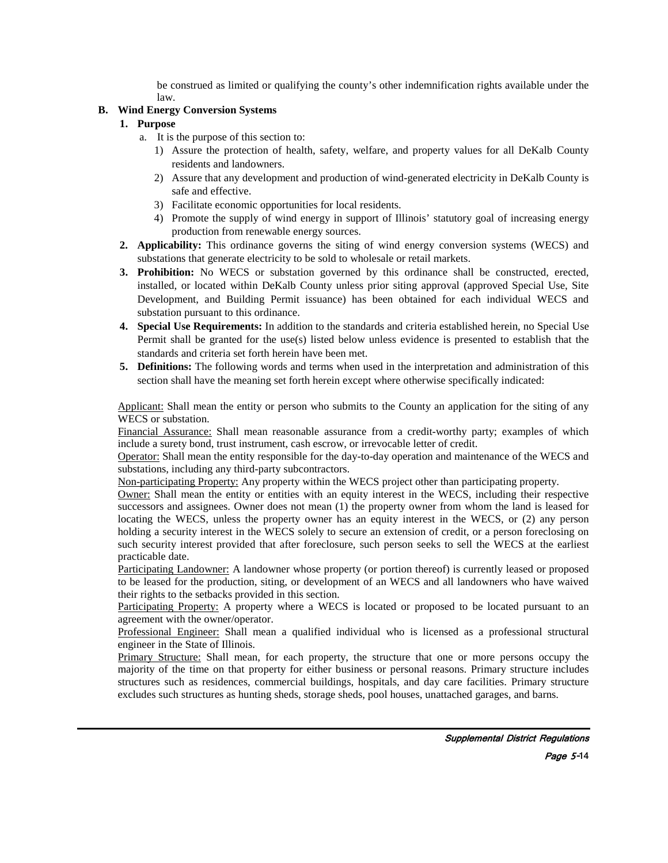be construed as limited or qualifying the county's other indemnification rights available under the law.

# **B. Wind Energy Conversion Systems**

# **1. Purpose**

- a. It is the purpose of this section to:
	- 1) Assure the protection of health, safety, welfare, and property values for all DeKalb County residents and landowners.
	- 2) Assure that any development and production of wind-generated electricity in DeKalb County is safe and effective.
	- 3) Facilitate economic opportunities for local residents.
	- 4) Promote the supply of wind energy in support of Illinois' statutory goal of increasing energy production from renewable energy sources.
- **2. Applicability:** This ordinance governs the siting of wind energy conversion systems (WECS) and substations that generate electricity to be sold to wholesale or retail markets.
- **3. Prohibition:** No WECS or substation governed by this ordinance shall be constructed, erected, installed, or located within DeKalb County unless prior siting approval (approved Special Use, Site Development, and Building Permit issuance) has been obtained for each individual WECS and substation pursuant to this ordinance.
- **4. Special Use Requirements:** In addition to the standards and criteria established herein, no Special Use Permit shall be granted for the use(s) listed below unless evidence is presented to establish that the standards and criteria set forth herein have been met.
- **5. Definitions:** The following words and terms when used in the interpretation and administration of this section shall have the meaning set forth herein except where otherwise specifically indicated:

Applicant: Shall mean the entity or person who submits to the County an application for the siting of any WECS or substation.

Financial Assurance: Shall mean reasonable assurance from a credit-worthy party; examples of which include a surety bond, trust instrument, cash escrow, or irrevocable letter of credit.

Operator: Shall mean the entity responsible for the day-to-day operation and maintenance of the WECS and substations, including any third-party subcontractors.

Non-participating Property: Any property within the WECS project other than participating property.

Owner: Shall mean the entity or entities with an equity interest in the WECS, including their respective successors and assignees. Owner does not mean (1) the property owner from whom the land is leased for locating the WECS, unless the property owner has an equity interest in the WECS, or (2) any person holding a security interest in the WECS solely to secure an extension of credit, or a person foreclosing on such security interest provided that after foreclosure, such person seeks to sell the WECS at the earliest practicable date.

Participating Landowner: A landowner whose property (or portion thereof) is currently leased or proposed to be leased for the production, siting, or development of an WECS and all landowners who have waived their rights to the setbacks provided in this section.

Participating Property: A property where a WECS is located or proposed to be located pursuant to an agreement with the owner/operator.

Professional Engineer: Shall mean a qualified individual who is licensed as a professional structural engineer in the State of Illinois.

Primary Structure: Shall mean, for each property, the structure that one or more persons occupy the majority of the time on that property for either business or personal reasons. Primary structure includes structures such as residences, commercial buildings, hospitals, and day care facilities. Primary structure excludes such structures as hunting sheds, storage sheds, pool houses, unattached garages, and barns.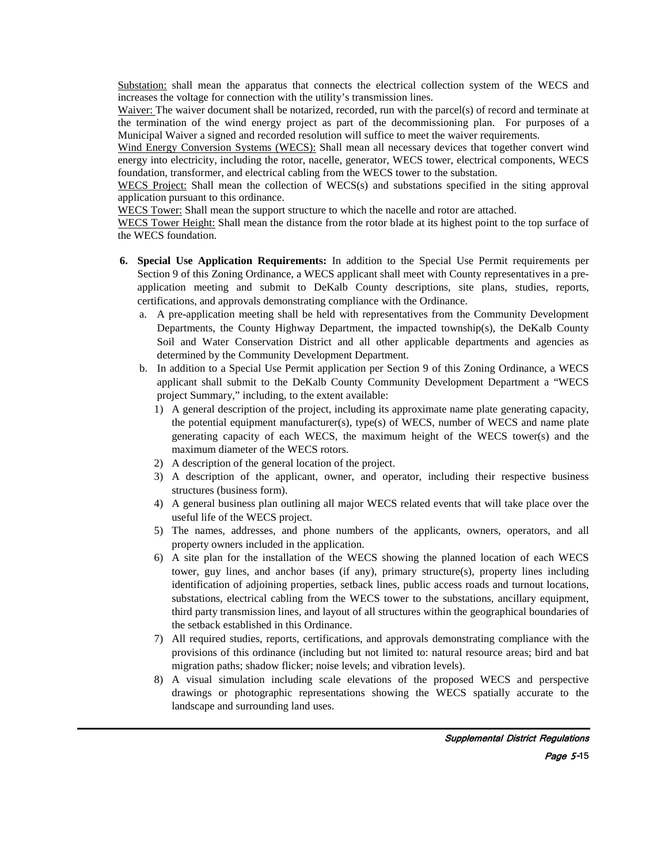Substation: shall mean the apparatus that connects the electrical collection system of the WECS and increases the voltage for connection with the utility's transmission lines.

Waiver: The waiver document shall be notarized, recorded, run with the parcel(s) of record and terminate at the termination of the wind energy project as part of the decommissioning plan. For purposes of a Municipal Waiver a signed and recorded resolution will suffice to meet the waiver requirements.

Wind Energy Conversion Systems (WECS): Shall mean all necessary devices that together convert wind energy into electricity, including the rotor, nacelle, generator, WECS tower, electrical components, WECS foundation, transformer, and electrical cabling from the WECS tower to the substation.

WECS Project: Shall mean the collection of WECS(s) and substations specified in the siting approval application pursuant to this ordinance.

WECS Tower: Shall mean the support structure to which the nacelle and rotor are attached.

WECS Tower Height: Shall mean the distance from the rotor blade at its highest point to the top surface of the WECS foundation.

- **6. Special Use Application Requirements:** In addition to the Special Use Permit requirements per Section 9 of this Zoning Ordinance, a WECS applicant shall meet with County representatives in a preapplication meeting and submit to DeKalb County descriptions, site plans, studies, reports, certifications, and approvals demonstrating compliance with the Ordinance.
	- a. A pre-application meeting shall be held with representatives from the Community Development Departments, the County Highway Department, the impacted township(s), the DeKalb County Soil and Water Conservation District and all other applicable departments and agencies as determined by the Community Development Department.
	- b. In addition to a Special Use Permit application per Section 9 of this Zoning Ordinance, a WECS applicant shall submit to the DeKalb County Community Development Department a "WECS project Summary," including, to the extent available:
		- 1) A general description of the project, including its approximate name plate generating capacity, the potential equipment manufacturer(s), type(s) of WECS, number of WECS and name plate generating capacity of each WECS, the maximum height of the WECS tower(s) and the maximum diameter of the WECS rotors.
		- 2) A description of the general location of the project.
		- 3) A description of the applicant, owner, and operator, including their respective business structures (business form).
		- 4) A general business plan outlining all major WECS related events that will take place over the useful life of the WECS project.
		- 5) The names, addresses, and phone numbers of the applicants, owners, operators, and all property owners included in the application.
		- 6) A site plan for the installation of the WECS showing the planned location of each WECS tower, guy lines, and anchor bases (if any), primary structure(s), property lines including identification of adjoining properties, setback lines, public access roads and turnout locations, substations, electrical cabling from the WECS tower to the substations, ancillary equipment, third party transmission lines, and layout of all structures within the geographical boundaries of the setback established in this Ordinance.
		- 7) All required studies, reports, certifications, and approvals demonstrating compliance with the provisions of this ordinance (including but not limited to: natural resource areas; bird and bat migration paths; shadow flicker; noise levels; and vibration levels).
		- 8) A visual simulation including scale elevations of the proposed WECS and perspective drawings or photographic representations showing the WECS spatially accurate to the landscape and surrounding land uses.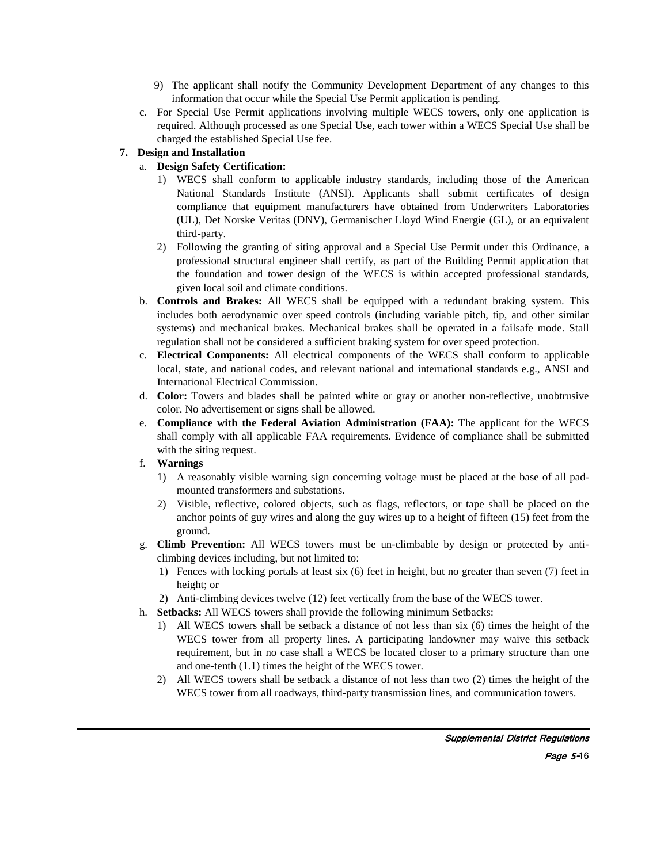- 9) The applicant shall notify the Community Development Department of any changes to this information that occur while the Special Use Permit application is pending.
- c. For Special Use Permit applications involving multiple WECS towers, only one application is required. Although processed as one Special Use, each tower within a WECS Special Use shall be charged the established Special Use fee.

# **7. Design and Installation**

# a. **Design Safety Certification:**

- 1) WECS shall conform to applicable industry standards, including those of the American National Standards Institute (ANSI). Applicants shall submit certificates of design compliance that equipment manufacturers have obtained from Underwriters Laboratories (UL), Det Norske Veritas (DNV), Germanischer Lloyd Wind Energie (GL), or an equivalent third-party.
- 2) Following the granting of siting approval and a Special Use Permit under this Ordinance, a professional structural engineer shall certify, as part of the Building Permit application that the foundation and tower design of the WECS is within accepted professional standards, given local soil and climate conditions.
- b. **Controls and Brakes:** All WECS shall be equipped with a redundant braking system. This includes both aerodynamic over speed controls (including variable pitch, tip, and other similar systems) and mechanical brakes. Mechanical brakes shall be operated in a failsafe mode. Stall regulation shall not be considered a sufficient braking system for over speed protection.
- c. **Electrical Components:** All electrical components of the WECS shall conform to applicable local, state, and national codes, and relevant national and international standards e.g., ANSI and International Electrical Commission.
- d. **Color:** Towers and blades shall be painted white or gray or another non-reflective, unobtrusive color. No advertisement or signs shall be allowed.
- e. **Compliance with the Federal Aviation Administration (FAA):** The applicant for the WECS shall comply with all applicable FAA requirements. Evidence of compliance shall be submitted with the siting request.
- f. **Warnings**
	- 1) A reasonably visible warning sign concerning voltage must be placed at the base of all padmounted transformers and substations.
	- 2) Visible, reflective, colored objects, such as flags, reflectors, or tape shall be placed on the anchor points of guy wires and along the guy wires up to a height of fifteen (15) feet from the ground.
- g. **Climb Prevention:** All WECS towers must be un-climbable by design or protected by anticlimbing devices including, but not limited to:
	- 1) Fences with locking portals at least six (6) feet in height, but no greater than seven (7) feet in height; or
	- 2) Anti-climbing devices twelve (12) feet vertically from the base of the WECS tower.
- h. **Setbacks:** All WECS towers shall provide the following minimum Setbacks:
	- 1) All WECS towers shall be setback a distance of not less than six (6) times the height of the WECS tower from all property lines. A participating landowner may waive this setback requirement, but in no case shall a WECS be located closer to a primary structure than one and one-tenth (1.1) times the height of the WECS tower.
	- 2) All WECS towers shall be setback a distance of not less than two (2) times the height of the WECS tower from all roadways, third-party transmission lines, and communication towers.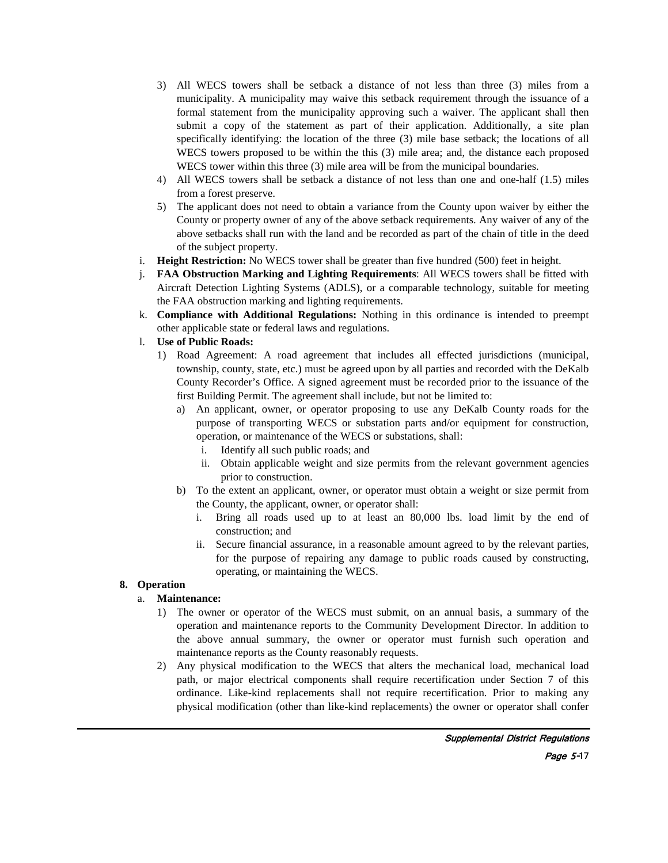- 3) All WECS towers shall be setback a distance of not less than three (3) miles from a municipality. A municipality may waive this setback requirement through the issuance of a formal statement from the municipality approving such a waiver. The applicant shall then submit a copy of the statement as part of their application. Additionally, a site plan specifically identifying: the location of the three (3) mile base setback; the locations of all WECS towers proposed to be within the this (3) mile area; and, the distance each proposed WECS tower within this three (3) mile area will be from the municipal boundaries.
- 4) All WECS towers shall be setback a distance of not less than one and one-half (1.5) miles from a forest preserve.
- 5) The applicant does not need to obtain a variance from the County upon waiver by either the County or property owner of any of the above setback requirements. Any waiver of any of the above setbacks shall run with the land and be recorded as part of the chain of title in the deed of the subject property.
- i. **Height Restriction:** No WECS tower shall be greater than five hundred (500) feet in height.
- j. **FAA Obstruction Marking and Lighting Requirements**: All WECS towers shall be fitted with Aircraft Detection Lighting Systems (ADLS), or a comparable technology, suitable for meeting the FAA obstruction marking and lighting requirements.
- k. **Compliance with Additional Regulations:** Nothing in this ordinance is intended to preempt other applicable state or federal laws and regulations.
- l. **Use of Public Roads:**
	- 1) Road Agreement: A road agreement that includes all effected jurisdictions (municipal, township, county, state, etc.) must be agreed upon by all parties and recorded with the DeKalb County Recorder's Office. A signed agreement must be recorded prior to the issuance of the first Building Permit. The agreement shall include, but not be limited to:
		- a) An applicant, owner, or operator proposing to use any DeKalb County roads for the purpose of transporting WECS or substation parts and/or equipment for construction, operation, or maintenance of the WECS or substations, shall:
			- i. Identify all such public roads; and
			- ii. Obtain applicable weight and size permits from the relevant government agencies prior to construction.
		- b) To the extent an applicant, owner, or operator must obtain a weight or size permit from the County, the applicant, owner, or operator shall:
			- i. Bring all roads used up to at least an 80,000 lbs. load limit by the end of construction; and
			- ii. Secure financial assurance, in a reasonable amount agreed to by the relevant parties, for the purpose of repairing any damage to public roads caused by constructing, operating, or maintaining the WECS.

### **8. Operation**

### a. **Maintenance:**

- 1) The owner or operator of the WECS must submit, on an annual basis, a summary of the operation and maintenance reports to the Community Development Director. In addition to the above annual summary, the owner or operator must furnish such operation and maintenance reports as the County reasonably requests.
- 2) Any physical modification to the WECS that alters the mechanical load, mechanical load path, or major electrical components shall require recertification under Section 7 of this ordinance. Like-kind replacements shall not require recertification. Prior to making any physical modification (other than like-kind replacements) the owner or operator shall confer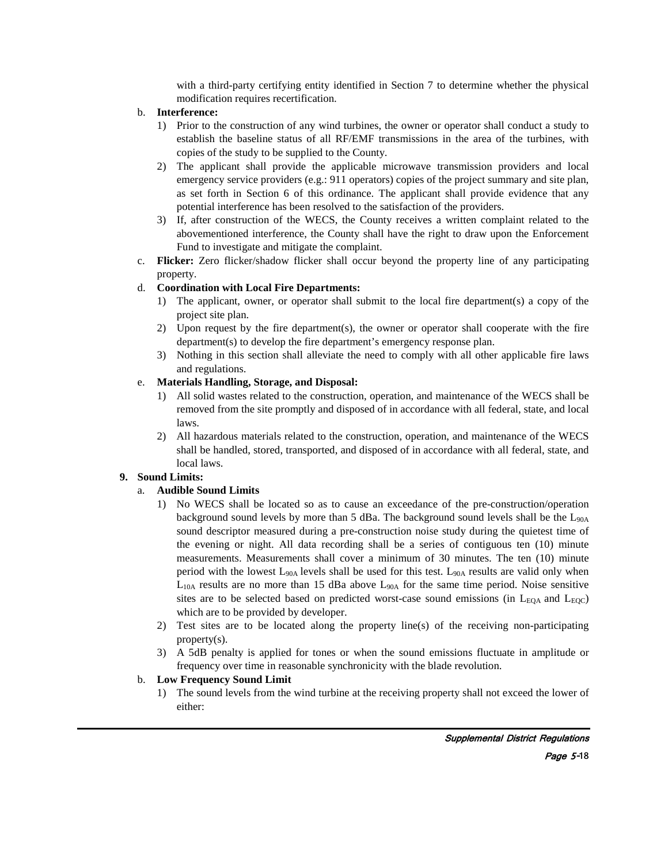with a third-party certifying entity identified in Section 7 to determine whether the physical modification requires recertification.

# b. **Interference:**

- 1) Prior to the construction of any wind turbines, the owner or operator shall conduct a study to establish the baseline status of all RF/EMF transmissions in the area of the turbines, with copies of the study to be supplied to the County.
- 2) The applicant shall provide the applicable microwave transmission providers and local emergency service providers (e.g.: 911 operators) copies of the project summary and site plan, as set forth in Section 6 of this ordinance. The applicant shall provide evidence that any potential interference has been resolved to the satisfaction of the providers.
- 3) If, after construction of the WECS, the County receives a written complaint related to the abovementioned interference, the County shall have the right to draw upon the Enforcement Fund to investigate and mitigate the complaint.
- c. **Flicker:** Zero flicker/shadow flicker shall occur beyond the property line of any participating property.

# d. **Coordination with Local Fire Departments:**

- 1) The applicant, owner, or operator shall submit to the local fire department(s) a copy of the project site plan.
- 2) Upon request by the fire department(s), the owner or operator shall cooperate with the fire department(s) to develop the fire department's emergency response plan.
- 3) Nothing in this section shall alleviate the need to comply with all other applicable fire laws and regulations.

# e. **Materials Handling, Storage, and Disposal:**

- 1) All solid wastes related to the construction, operation, and maintenance of the WECS shall be removed from the site promptly and disposed of in accordance with all federal, state, and local laws.
- 2) All hazardous materials related to the construction, operation, and maintenance of the WECS shall be handled, stored, transported, and disposed of in accordance with all federal, state, and local laws.

# **9. Sound Limits:**

# a. **Audible Sound Limits**

- 1) No WECS shall be located so as to cause an exceedance of the pre-construction/operation background sound levels by more than 5 dBa. The background sound levels shall be the  $L_{90A}$ sound descriptor measured during a pre-construction noise study during the quietest time of the evening or night. All data recording shall be a series of contiguous ten (10) minute measurements. Measurements shall cover a minimum of 30 minutes. The ten (10) minute period with the lowest  $L_{90A}$  levels shall be used for this test.  $L_{90A}$  results are valid only when  $L<sub>10A</sub>$  results are no more than 15 dBa above  $L<sub>90A</sub>$  for the same time period. Noise sensitive sites are to be selected based on predicted worst-case sound emissions (in  $L_{EQA}$  and  $L_{EQC}$ ) which are to be provided by developer.
- 2) Test sites are to be located along the property line(s) of the receiving non-participating property(s).
- 3) A 5dB penalty is applied for tones or when the sound emissions fluctuate in amplitude or frequency over time in reasonable synchronicity with the blade revolution.

# b. **Low Frequency Sound Limit**

1) The sound levels from the wind turbine at the receiving property shall not exceed the lower of either: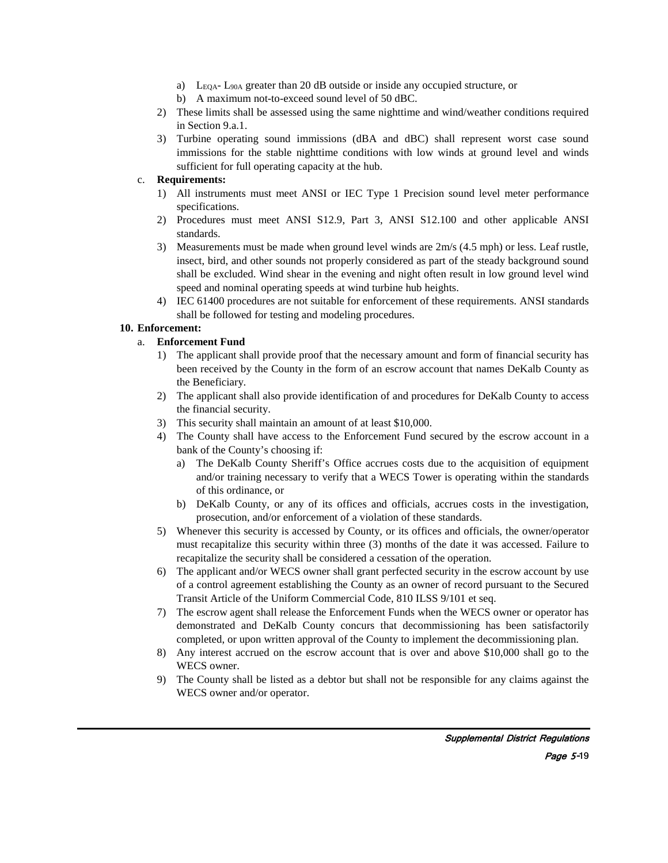- a)  $L_{EOA}$   $L_{90A}$  greater than 20 dB outside or inside any occupied structure, or
- b) A maximum not-to-exceed sound level of 50 dBC.
- 2) These limits shall be assessed using the same nighttime and wind/weather conditions required in Section 9.a.1.
- 3) Turbine operating sound immissions (dBA and dBC) shall represent worst case sound immissions for the stable nighttime conditions with low winds at ground level and winds sufficient for full operating capacity at the hub.

### c. **Requirements:**

- 1) All instruments must meet ANSI or IEC Type 1 Precision sound level meter performance specifications.
- 2) Procedures must meet ANSI S12.9, Part 3, ANSI S12.100 and other applicable ANSI standards.
- 3) Measurements must be made when ground level winds are 2m/s (4.5 mph) or less. Leaf rustle, insect, bird, and other sounds not properly considered as part of the steady background sound shall be excluded. Wind shear in the evening and night often result in low ground level wind speed and nominal operating speeds at wind turbine hub heights.
- 4) IEC 61400 procedures are not suitable for enforcement of these requirements. ANSI standards shall be followed for testing and modeling procedures.

### **10. Enforcement:**

# a. **Enforcement Fund**

- 1) The applicant shall provide proof that the necessary amount and form of financial security has been received by the County in the form of an escrow account that names DeKalb County as the Beneficiary.
- 2) The applicant shall also provide identification of and procedures for DeKalb County to access the financial security.
- 3) This security shall maintain an amount of at least \$10,000.
- 4) The County shall have access to the Enforcement Fund secured by the escrow account in a bank of the County's choosing if:
	- a) The DeKalb County Sheriff's Office accrues costs due to the acquisition of equipment and/or training necessary to verify that a WECS Tower is operating within the standards of this ordinance, or
	- b) DeKalb County, or any of its offices and officials, accrues costs in the investigation, prosecution, and/or enforcement of a violation of these standards.
- 5) Whenever this security is accessed by County, or its offices and officials, the owner/operator must recapitalize this security within three (3) months of the date it was accessed. Failure to recapitalize the security shall be considered a cessation of the operation.
- 6) The applicant and/or WECS owner shall grant perfected security in the escrow account by use of a control agreement establishing the County as an owner of record pursuant to the Secured Transit Article of the Uniform Commercial Code, 810 ILSS 9/101 et seq.
- 7) The escrow agent shall release the Enforcement Funds when the WECS owner or operator has demonstrated and DeKalb County concurs that decommissioning has been satisfactorily completed, or upon written approval of the County to implement the decommissioning plan.
- 8) Any interest accrued on the escrow account that is over and above \$10,000 shall go to the WECS owner.
- 9) The County shall be listed as a debtor but shall not be responsible for any claims against the WECS owner and/or operator.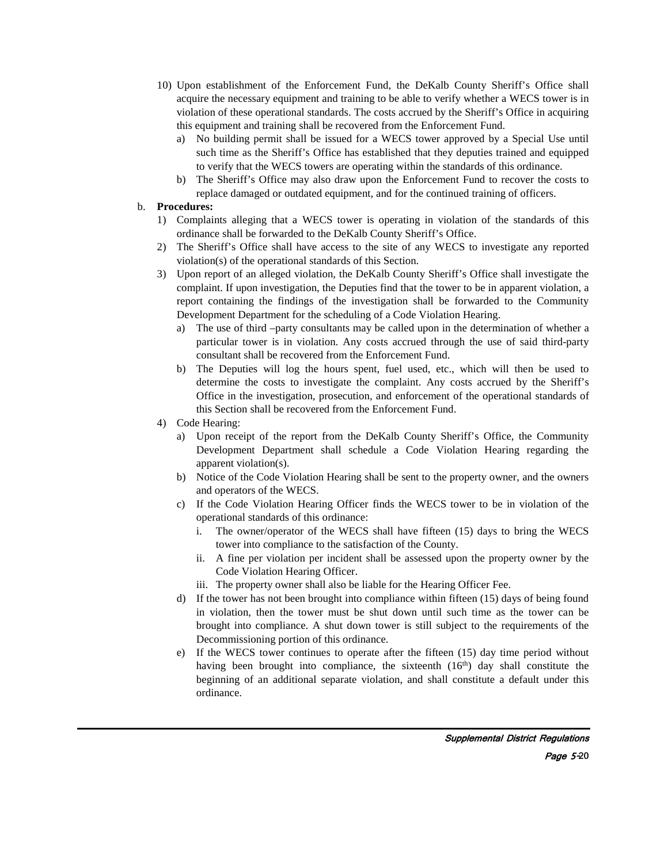- 10) Upon establishment of the Enforcement Fund, the DeKalb County Sheriff's Office shall acquire the necessary equipment and training to be able to verify whether a WECS tower is in violation of these operational standards. The costs accrued by the Sheriff's Office in acquiring this equipment and training shall be recovered from the Enforcement Fund.
	- a) No building permit shall be issued for a WECS tower approved by a Special Use until such time as the Sheriff's Office has established that they deputies trained and equipped to verify that the WECS towers are operating within the standards of this ordinance.
	- b) The Sheriff's Office may also draw upon the Enforcement Fund to recover the costs to replace damaged or outdated equipment, and for the continued training of officers.

# b. **Procedures:**

- 1) Complaints alleging that a WECS tower is operating in violation of the standards of this ordinance shall be forwarded to the DeKalb County Sheriff's Office.
- 2) The Sheriff's Office shall have access to the site of any WECS to investigate any reported violation(s) of the operational standards of this Section.
- 3) Upon report of an alleged violation, the DeKalb County Sheriff's Office shall investigate the complaint. If upon investigation, the Deputies find that the tower to be in apparent violation, a report containing the findings of the investigation shall be forwarded to the Community Development Department for the scheduling of a Code Violation Hearing.
	- a) The use of third –party consultants may be called upon in the determination of whether a particular tower is in violation. Any costs accrued through the use of said third-party consultant shall be recovered from the Enforcement Fund.
	- b) The Deputies will log the hours spent, fuel used, etc., which will then be used to determine the costs to investigate the complaint. Any costs accrued by the Sheriff's Office in the investigation, prosecution, and enforcement of the operational standards of this Section shall be recovered from the Enforcement Fund.
- 4) Code Hearing:
	- a) Upon receipt of the report from the DeKalb County Sheriff's Office, the Community Development Department shall schedule a Code Violation Hearing regarding the apparent violation(s).
	- b) Notice of the Code Violation Hearing shall be sent to the property owner, and the owners and operators of the WECS.
	- c) If the Code Violation Hearing Officer finds the WECS tower to be in violation of the operational standards of this ordinance:
		- i. The owner/operator of the WECS shall have fifteen (15) days to bring the WECS tower into compliance to the satisfaction of the County.
		- ii. A fine per violation per incident shall be assessed upon the property owner by the Code Violation Hearing Officer.
		- iii. The property owner shall also be liable for the Hearing Officer Fee.
	- d) If the tower has not been brought into compliance within fifteen (15) days of being found in violation, then the tower must be shut down until such time as the tower can be brought into compliance. A shut down tower is still subject to the requirements of the Decommissioning portion of this ordinance.
	- e) If the WECS tower continues to operate after the fifteen (15) day time period without having been brought into compliance, the sixteenth  $(16<sup>th</sup>)$  day shall constitute the beginning of an additional separate violation, and shall constitute a default under this ordinance.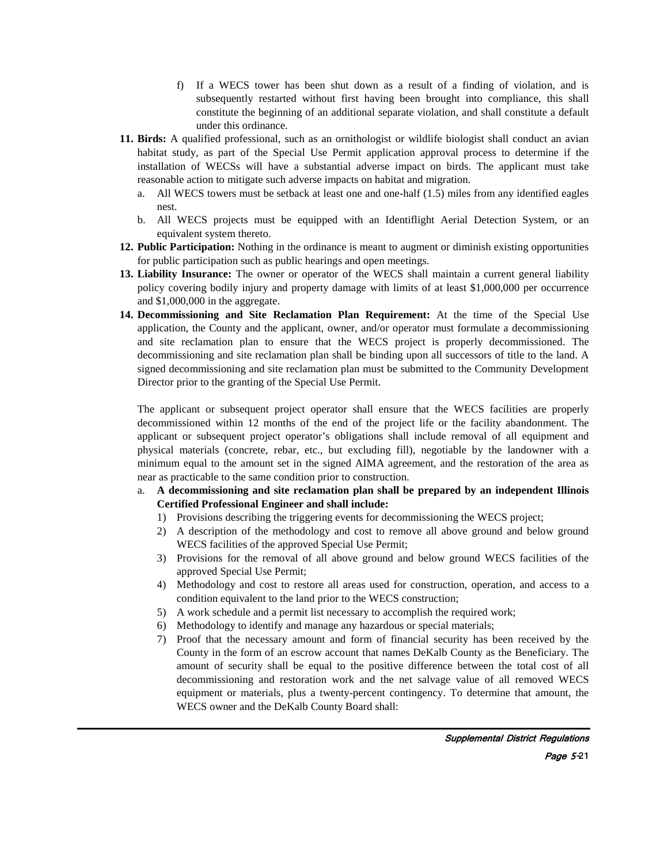- f) If a WECS tower has been shut down as a result of a finding of violation, and is subsequently restarted without first having been brought into compliance, this shall constitute the beginning of an additional separate violation, and shall constitute a default under this ordinance.
- **11. Birds:** A qualified professional, such as an ornithologist or wildlife biologist shall conduct an avian habitat study, as part of the Special Use Permit application approval process to determine if the installation of WECSs will have a substantial adverse impact on birds. The applicant must take reasonable action to mitigate such adverse impacts on habitat and migration.
	- a. All WECS towers must be setback at least one and one-half (1.5) miles from any identified eagles nest.
	- b. All WECS projects must be equipped with an Identiflight Aerial Detection System, or an equivalent system thereto.
- **12. Public Participation:** Nothing in the ordinance is meant to augment or diminish existing opportunities for public participation such as public hearings and open meetings.
- **13. Liability Insurance:** The owner or operator of the WECS shall maintain a current general liability policy covering bodily injury and property damage with limits of at least \$1,000,000 per occurrence and \$1,000,000 in the aggregate.
- **14. Decommissioning and Site Reclamation Plan Requirement:** At the time of the Special Use application, the County and the applicant, owner, and/or operator must formulate a decommissioning and site reclamation plan to ensure that the WECS project is properly decommissioned. The decommissioning and site reclamation plan shall be binding upon all successors of title to the land. A signed decommissioning and site reclamation plan must be submitted to the Community Development Director prior to the granting of the Special Use Permit.

The applicant or subsequent project operator shall ensure that the WECS facilities are properly decommissioned within 12 months of the end of the project life or the facility abandonment. The applicant or subsequent project operator's obligations shall include removal of all equipment and physical materials (concrete, rebar, etc., but excluding fill), negotiable by the landowner with a minimum equal to the amount set in the signed AIMA agreement, and the restoration of the area as near as practicable to the same condition prior to construction.

# a. **A decommissioning and site reclamation plan shall be prepared by an independent Illinois Certified Professional Engineer and shall include:**

- 1) Provisions describing the triggering events for decommissioning the WECS project;
- 2) A description of the methodology and cost to remove all above ground and below ground WECS facilities of the approved Special Use Permit;
- 3) Provisions for the removal of all above ground and below ground WECS facilities of the approved Special Use Permit;
- 4) Methodology and cost to restore all areas used for construction, operation, and access to a condition equivalent to the land prior to the WECS construction;
- 5) A work schedule and a permit list necessary to accomplish the required work;
- 6) Methodology to identify and manage any hazardous or special materials;
- 7) Proof that the necessary amount and form of financial security has been received by the County in the form of an escrow account that names DeKalb County as the Beneficiary. The amount of security shall be equal to the positive difference between the total cost of all decommissioning and restoration work and the net salvage value of all removed WECS equipment or materials, plus a twenty-percent contingency. To determine that amount, the WECS owner and the DeKalb County Board shall: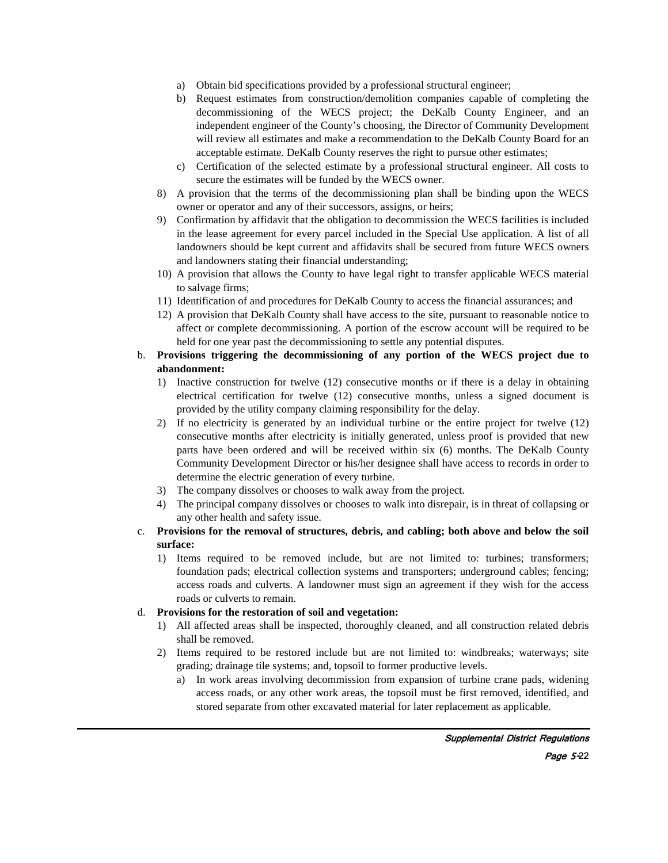- a) Obtain bid specifications provided by a professional structural engineer;
- b) Request estimates from construction/demolition companies capable of completing the decommissioning of the WECS project; the DeKalb County Engineer, and an independent engineer of the County's choosing, the Director of Community Development will review all estimates and make a recommendation to the DeKalb County Board for an acceptable estimate. DeKalb County reserves the right to pursue other estimates;
- c) Certification of the selected estimate by a professional structural engineer. All costs to secure the estimates will be funded by the WECS owner.
- 8) A provision that the terms of the decommissioning plan shall be binding upon the WECS owner or operator and any of their successors, assigns, or heirs;
- 9) Confirmation by affidavit that the obligation to decommission the WECS facilities is included in the lease agreement for every parcel included in the Special Use application. A list of all landowners should be kept current and affidavits shall be secured from future WECS owners and landowners stating their financial understanding;
- 10) A provision that allows the County to have legal right to transfer applicable WECS material to salvage firms;
- 11) Identification of and procedures for DeKalb County to access the financial assurances; and
- 12) A provision that DeKalb County shall have access to the site, pursuant to reasonable notice to affect or complete decommissioning. A portion of the escrow account will be required to be held for one year past the decommissioning to settle any potential disputes.

# b. **Provisions triggering the decommissioning of any portion of the WECS project due to abandonment:**

- 1) Inactive construction for twelve (12) consecutive months or if there is a delay in obtaining electrical certification for twelve (12) consecutive months, unless a signed document is provided by the utility company claiming responsibility for the delay.
- 2) If no electricity is generated by an individual turbine or the entire project for twelve (12) consecutive months after electricity is initially generated, unless proof is provided that new parts have been ordered and will be received within six (6) months. The DeKalb County Community Development Director or his/her designee shall have access to records in order to determine the electric generation of every turbine.
- 3) The company dissolves or chooses to walk away from the project.
- 4) The principal company dissolves or chooses to walk into disrepair, is in threat of collapsing or any other health and safety issue.
- c. **Provisions for the removal of structures, debris, and cabling; both above and below the soil surface:**
	- 1) Items required to be removed include, but are not limited to: turbines; transformers; foundation pads; electrical collection systems and transporters; underground cables; fencing; access roads and culverts. A landowner must sign an agreement if they wish for the access roads or culverts to remain.

# d. **Provisions for the restoration of soil and vegetation:**

- 1) All affected areas shall be inspected, thoroughly cleaned, and all construction related debris shall be removed.
- 2) Items required to be restored include but are not limited to: windbreaks; waterways; site grading; drainage tile systems; and, topsoil to former productive levels.
	- a) In work areas involving decommission from expansion of turbine crane pads, widening access roads, or any other work areas, the topsoil must be first removed, identified, and stored separate from other excavated material for later replacement as applicable.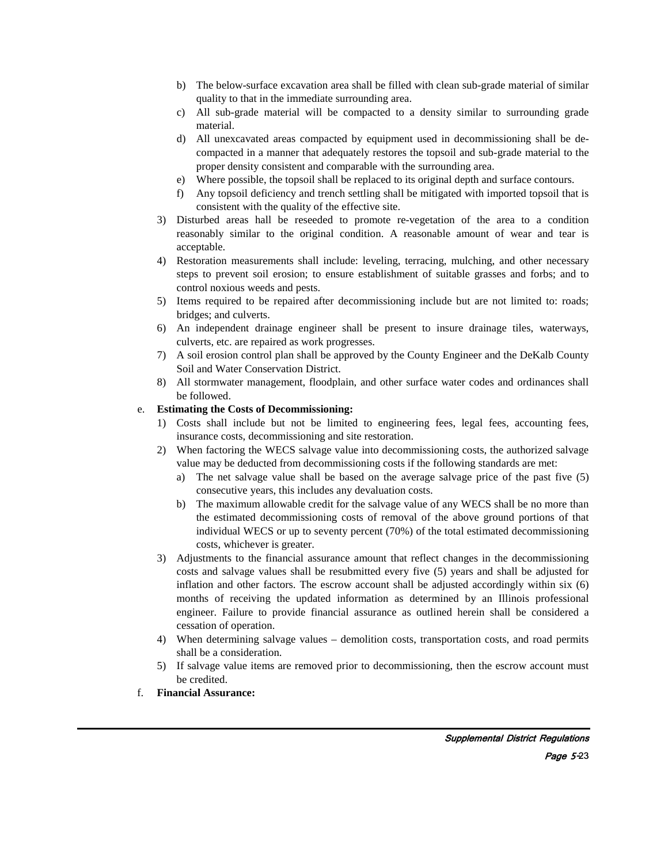- b) The below-surface excavation area shall be filled with clean sub-grade material of similar quality to that in the immediate surrounding area.
- c) All sub-grade material will be compacted to a density similar to surrounding grade material.
- d) All unexcavated areas compacted by equipment used in decommissioning shall be decompacted in a manner that adequately restores the topsoil and sub-grade material to the proper density consistent and comparable with the surrounding area.
- e) Where possible, the topsoil shall be replaced to its original depth and surface contours.
- f) Any topsoil deficiency and trench settling shall be mitigated with imported topsoil that is consistent with the quality of the effective site.
- 3) Disturbed areas hall be reseeded to promote re-vegetation of the area to a condition reasonably similar to the original condition. A reasonable amount of wear and tear is acceptable.
- 4) Restoration measurements shall include: leveling, terracing, mulching, and other necessary steps to prevent soil erosion; to ensure establishment of suitable grasses and forbs; and to control noxious weeds and pests.
- 5) Items required to be repaired after decommissioning include but are not limited to: roads; bridges; and culverts.
- 6) An independent drainage engineer shall be present to insure drainage tiles, waterways, culverts, etc. are repaired as work progresses.
- 7) A soil erosion control plan shall be approved by the County Engineer and the DeKalb County Soil and Water Conservation District.
- 8) All stormwater management, floodplain, and other surface water codes and ordinances shall be followed.

### e. **Estimating the Costs of Decommissioning:**

- 1) Costs shall include but not be limited to engineering fees, legal fees, accounting fees, insurance costs, decommissioning and site restoration.
- 2) When factoring the WECS salvage value into decommissioning costs, the authorized salvage value may be deducted from decommissioning costs if the following standards are met:
	- a) The net salvage value shall be based on the average salvage price of the past five (5) consecutive years, this includes any devaluation costs.
	- b) The maximum allowable credit for the salvage value of any WECS shall be no more than the estimated decommissioning costs of removal of the above ground portions of that individual WECS or up to seventy percent (70%) of the total estimated decommissioning costs, whichever is greater.
- 3) Adjustments to the financial assurance amount that reflect changes in the decommissioning costs and salvage values shall be resubmitted every five (5) years and shall be adjusted for inflation and other factors. The escrow account shall be adjusted accordingly within six (6) months of receiving the updated information as determined by an Illinois professional engineer. Failure to provide financial assurance as outlined herein shall be considered a cessation of operation.
- 4) When determining salvage values demolition costs, transportation costs, and road permits shall be a consideration.
- 5) If salvage value items are removed prior to decommissioning, then the escrow account must be credited.
- f. **Financial Assurance:**